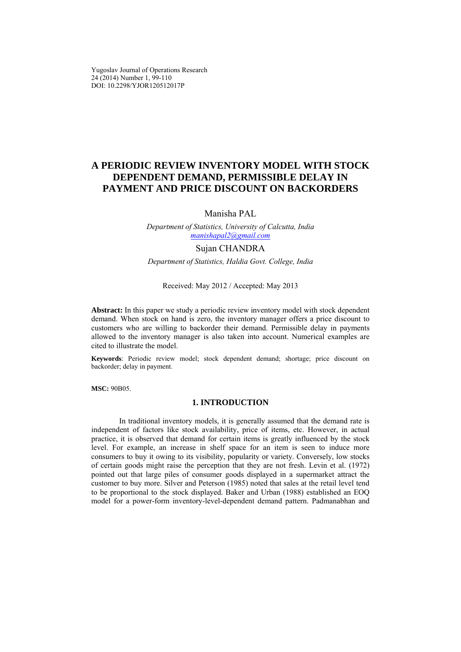Yugoslav Journal of Operations Research 24 (2014) Number 1, 99-110 DOI: 10.2298/YJOR120512017P

# **A PERIODIC REVIEW INVENTORY MODEL WITH STOCK DEPENDENT DEMAND, PERMISSIBLE DELAY IN PAYMENT AND PRICE DISCOUNT ON BACKORDERS**

Manisha PAL

*Department of Statistics, University of Calcutta, India manishapal2@gmail.com* 

## Sujan CHANDRA

*Department of Statistics, Haldia Govt. College, India* 

#### Received: May 2012 / Accepted: May 2013

**Abstract:** In this paper we study a periodic review inventory model with stock dependent demand. When stock on hand is zero, the inventory manager offers a price discount to customers who are willing to backorder their demand. Permissible delay in payments allowed to the inventory manager is also taken into account. Numerical examples are cited to illustrate the model.

**Keywords**: Periodic review model; stock dependent demand; shortage; price discount on backorder; delay in payment.

**MSC:** 90B05.

# **1. INTRODUCTION**

In traditional inventory models, it is generally assumed that the demand rate is independent of factors like stock availability, price of items, etc. However, in actual practice, it is observed that demand for certain items is greatly influenced by the stock level. For example, an increase in shelf space for an item is seen to induce more consumers to buy it owing to its visibility, popularity or variety. Conversely, low stocks of certain goods might raise the perception that they are not fresh. Levin et al. (1972) pointed out that large piles of consumer goods displayed in a supermarket attract the customer to buy more. Silver and Peterson (1985) noted that sales at the retail level tend to be proportional to the stock displayed. Baker and Urban (1988) established an EOQ model for a power-form inventory-level-dependent demand pattern. Padmanabhan and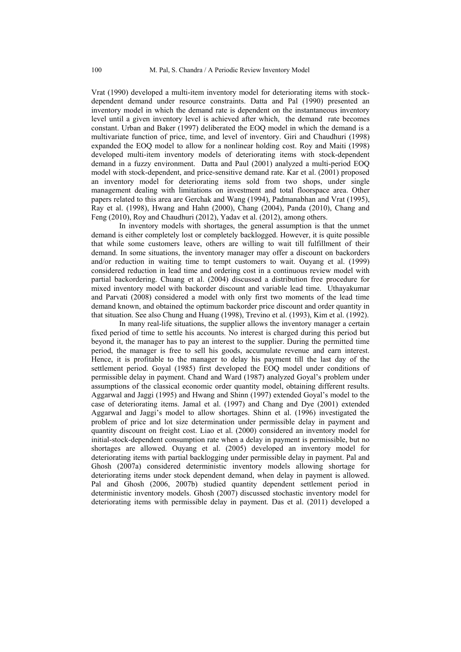Vrat (1990) developed a multi-item inventory model for deteriorating items with stockdependent demand under resource constraints. Datta and Pal (1990) presented an inventory model in which the demand rate is dependent on the instantaneous inventory level until a given inventory level is achieved after which, the demand rate becomes constant. Urban and Baker (1997) deliberated the EOQ model in which the demand is a multivariate function of price, time, and level of inventory. Giri and Chaudhuri (1998) expanded the EOQ model to allow for a nonlinear holding cost. Roy and Maiti (1998) developed multi-item inventory models of deteriorating items with stock-dependent demand in a fuzzy environment. Datta and Paul (2001) analyzed a multi-period EOQ model with stock-dependent, and price-sensitive demand rate. Kar et al. (2001) proposed an inventory model for deteriorating items sold from two shops, under single management dealing with limitations on investment and total floorspace area. Other papers related to this area are Gerchak and Wang (1994), Padmanabhan and Vrat (1995), Ray et al. (1998), Hwang and Hahn (2000), Chang (2004), Panda (2010), Chang and Feng (2010), Roy and Chaudhuri (2012), Yadav et al. (2012), among others.

In inventory models with shortages, the general assumption is that the unmet demand is either completely lost or completely backlogged. However, it is quite possible that while some customers leave, others are willing to wait till fulfillment of their demand. In some situations, the inventory manager may offer a discount on backorders and/or reduction in waiting time to tempt customers to wait. Ouyang et al. (1999) considered reduction in lead time and ordering cost in a continuous review model with partial backordering. Chuang et al. (2004) discussed a distribution free procedure for mixed inventory model with backorder discount and variable lead time. Uthayakumar and Parvati (2008) considered a model with only first two moments of the lead time demand known, and obtained the optimum backorder price discount and order quantity in that situation. See also Chung and Huang (1998), Trevino et al. (1993), Kim et al. (1992).

In many real-life situations, the supplier allows the inventory manager a certain fixed period of time to settle his accounts. No interest is charged during this period but beyond it, the manager has to pay an interest to the supplier. During the permitted time period, the manager is free to sell his goods, accumulate revenue and earn interest. Hence, it is profitable to the manager to delay his payment till the last day of the settlement period. Goyal (1985) first developed the EOQ model under conditions of permissible delay in payment. Chand and Ward (1987) analyzed Goyal's problem under assumptions of the classical economic order quantity model, obtaining different results. Aggarwal and Jaggi (1995) and Hwang and Shinn (1997) extended Goyal's model to the case of deteriorating items. Jamal et al. (1997) and Chang and Dye (2001) extended Aggarwal and Jaggi's model to allow shortages. Shinn et al. (1996) investigated the problem of price and lot size determination under permissible delay in payment and quantity discount on freight cost. Liao et al. (2000) considered an inventory model for initial-stock-dependent consumption rate when a delay in payment is permissible, but no shortages are allowed. Ouyang et al. (2005) developed an inventory model for deteriorating items with partial backlogging under permissible delay in payment. Pal and Ghosh (2007a) considered deterministic inventory models allowing shortage for deteriorating items under stock dependent demand, when delay in payment is allowed. Pal and Ghosh (2006, 2007b) studied quantity dependent settlement period in deterministic inventory models. Ghosh (2007) discussed stochastic inventory model for deteriorating items with permissible delay in payment. Das et al. (2011) developed a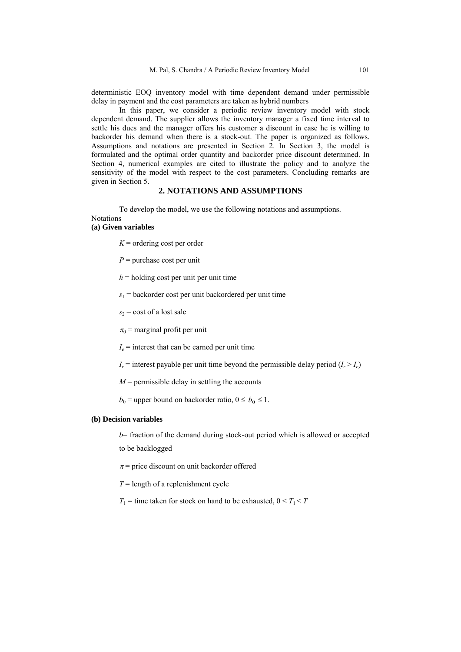deterministic EOQ inventory model with time dependent demand under permissible delay in payment and the cost parameters are taken as hybrid numbers

In this paper, we consider a periodic review inventory model with stock dependent demand. The supplier allows the inventory manager a fixed time interval to settle his dues and the manager offers his customer a discount in case he is willing to backorder his demand when there is a stock-out. The paper is organized as follows. Assumptions and notations are presented in Section 2. In Section 3, the model is formulated and the optimal order quantity and backorder price discount determined. In Section 4, numerical examples are cited to illustrate the policy and to analyze the sensitivity of the model with respect to the cost parameters. Concluding remarks are given in Section 5.

# **2. NOTATIONS AND ASSUMPTIONS**

To develop the model, we use the following notations and assumptions. **Notations** 

#### **(a) Given variables**

- $K =$  ordering cost per order
- *P* = purchase cost per unit
- $h =$  holding cost per unit per unit time
- $s_1$  = backorder cost per unit backordered per unit time
- $s_2$  = cost of a lost sale

 $\pi_0$  = marginal profit per unit

 $I_e$  = interest that can be earned per unit time

 $I_r$  = interest payable per unit time beyond the permissible delay period  $(I_r > I_e)$ 

*M* = permissible delay in settling the accounts

 $b_0$  = upper bound on backorder ratio,  $0 \le b_0 \le 1$ .

## **(b) Decision variables**

*b*= fraction of the demand during stock-out period which is allowed or accepted to be backlogged

 $\pi$  = price discount on unit backorder offered

 $T =$  length of a replenishment cycle

 $T_1$  = time taken for stock on hand to be exhausted,  $0 \le T_1 \le T$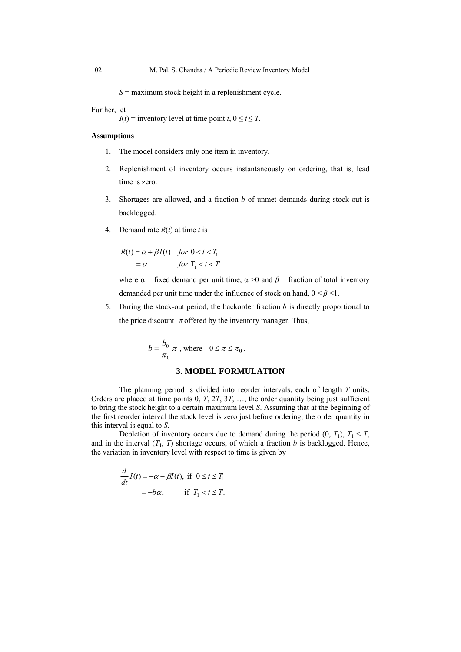*S* = maximum stock height in a replenishment cycle.

#### Further, let

*I*(*t*) = inventory level at time point *t*,  $0 \le t \le T$ .

# **Assumptions**

- 1. The model considers only one item in inventory.
- 2. Replenishment of inventory occurs instantaneously on ordering, that is, lead time is zero.
- 3. Shortages are allowed, and a fraction *b* of unmet demands during stock-out is backlogged.
- 4. Demand rate  $R(t)$  at time *t* is

$$
R(t) = \alpha + \beta I(t) \quad \text{for } 0 < t < T_1
$$
\n
$$
= \alpha \qquad \text{for } T_1 < t < T
$$

where  $\alpha$  = fixed demand per unit time,  $\alpha$  >0 and  $\beta$  = fraction of total inventory demanded per unit time under the influence of stock on hand,  $0 \le \beta \le 1$ .

5. During the stock-out period, the backorder fraction *b* is directly proportional to the price discount  $\pi$  offered by the inventory manager. Thus,

$$
b = \frac{b_0}{\pi_0} \pi \text{ , where } 0 \le \pi \le \pi_0 \text{ .}
$$

# **3. MODEL FORMULATION**

The planning period is divided into reorder intervals, each of length *T* units. Orders are placed at time points 0, *T*, 2*T*, 3*T*, …, the order quantity being just sufficient to bring the stock height to a certain maximum level *S*. Assuming that at the beginning of the first reorder interval the stock level is zero just before ordering, the order quantity in this interval is equal to *S.* 

Depletion of inventory occurs due to demand during the period  $(0, T_1)$ ,  $T_1 \leq T$ , and in the interval  $(T_1, T)$  shortage occurs, of which a fraction *b* is backlogged. Hence, the variation in inventory level with respect to time is given by

$$
\frac{d}{dt}I(t) = -\alpha - \beta I(t), \text{ if } 0 \le t \le T_1
$$

$$
= -b\alpha, \quad \text{if } T_1 < t \le T.
$$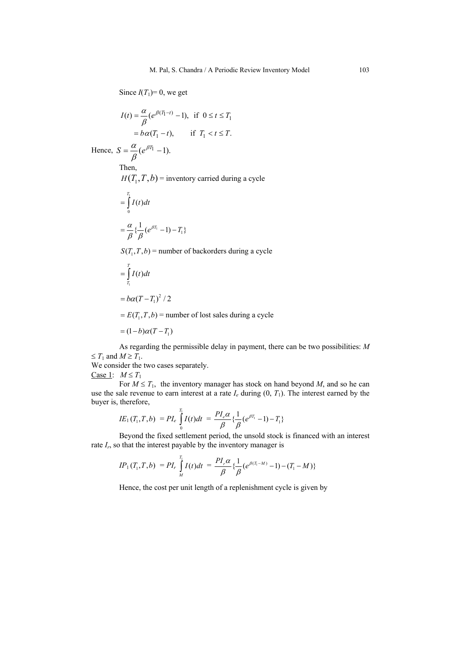# Since  $I(T_1)=0$ , we get

$$
I(t) = \frac{\alpha}{\beta} (e^{\beta(T_1 - t)} - 1), \text{ if } 0 \le t \le T_1
$$
  
=  $b\alpha(T_1 - t), \text{ if } T_1 < t \le T.$ 

Hence,  $S = \frac{a}{a} (e^{\beta T_1} - 1)$ . β α Then,

 $H(T_1, T, b)$  = inventory carried during a cycle

$$
=\int_{0}^{T_1} I(t)dt
$$
  

$$
=\frac{\alpha}{\beta} \left\{ \frac{1}{\beta} (e^{\beta T_1} - 1) - T_1 \right\}
$$

 $S(T_1, T, b)$  = number of backorders during a cycle

$$
=\int\limits_{T_1}^{T}I(t)dt
$$

$$
=b\alpha(T-T_1)^2/2
$$

 $E(T_1, T, b)$  = number of lost sales during a cycle

$$
= (1-b)\alpha(T - T_1)
$$

As regarding the permissible delay in payment, there can be two possibilities: *M*   $\leq T_1$  and  $M \geq T_1$ .

We consider the two cases separately.

Case 1:  $M \leq T_1$ 

For  $M \leq T_1$ , the inventory manager has stock on hand beyond *M*, and so he can use the sale revenue to earn interest at a rate  $I_e$  during  $(0, T_1)$ . The interest earned by the buyer is, therefore,

$$
IE_1(T_1, T, b) = PI_e \int_0^{T_1} I(t)dt = \frac{PI_e \alpha}{\beta} \left\{ \frac{1}{\beta} (e^{\beta T_1} - 1) - T_1 \right\}
$$

Beyond the fixed settlement period, the unsold stock is financed with an interest rate  $I_r$ , so that the interest payable by the inventory manager is

$$
IP_1(T_1, T, b) = PI_r \int_M^T I(t)dt = \frac{PI_r \alpha}{\beta} \left\{ \frac{1}{\beta} (e^{\beta (T_1 - M)} - 1) - (T_1 - M) \right\}
$$

Hence, the cost per unit length of a replenishment cycle is given by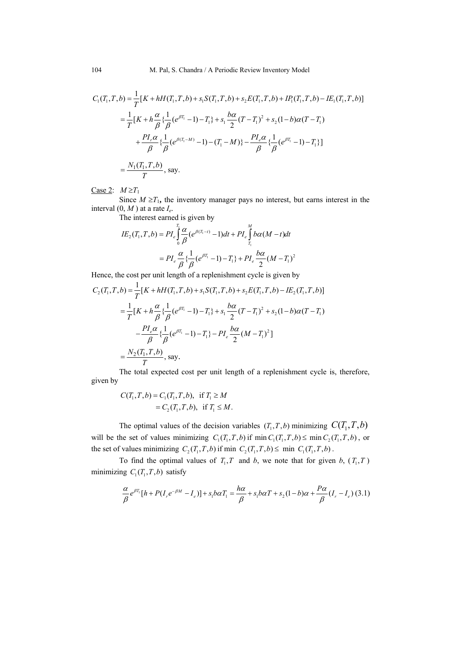$$
C_1(T_1, T, b) = \frac{1}{T} [K + hH(T_1, T, b) + s_1 S(T_1, T, b) + s_2 E(T_1, T, b) + IP_1(T_1, T, b) - IE_1(T_1, T, b)]
$$
  
\n
$$
= \frac{1}{T} [K + h\frac{\alpha}{\beta} {\frac{1}{\beta}} (e^{\beta T_1} - 1) - T_1 + s_1 \frac{b\alpha}{2} (T - T_1)^2 + s_2 (1 - b)\alpha (T - T_1)
$$
  
\n
$$
+ \frac{PI_r \alpha}{\beta} {\frac{1}{\beta}} (e^{\beta (T_1 - M)} - 1) - (T_1 - M) - \frac{PI_e \alpha}{\beta} {\frac{1}{\beta}} (e^{\beta T_1} - 1) - T_1 \}]
$$
  
\n
$$
= \frac{N_1(T_1, T, b)}{T}, \text{ say.}
$$

Case 2:  $M \ge T_1$ 

Since  $M \geq T_1$ , the inventory manager pays no interest, but earns interest in the interval (0, *M* ) at a rate *Ie*.

The interest earned is given by

$$
IE_2(T_1, T, b) = PI_e \int_0^{T_1} \frac{\alpha}{\beta} (e^{\beta(T_1 - t)} - 1) dt + PI_e \int_{T_1}^{M} b\alpha (M - t) dt
$$
  
= 
$$
PI_e \frac{\alpha}{\beta} \{ \frac{1}{\beta} (e^{\beta T_1} - 1) - T_1 \} + PI_e \frac{b\alpha}{2} (M - T_1)^2
$$

Hence, the cost per unit length of a replenishment cycle is given by

$$
C_2(T_1, T, b) = \frac{1}{T} [K + hH(T_1, T, b) + s_1 S(T_1, T, b) + s_2 E(T_1, T, b) - I E_2(T_1, T, b)]
$$
  
\n
$$
= \frac{1}{T} [K + h\frac{\alpha}{\beta} {\frac{1}{\beta}} (e^{\beta T_1} - 1) - T_1 + s_1 \frac{b\alpha}{2} (T - T_1)^2 + s_2 (1 - b)\alpha (T - T_1)
$$
  
\n
$$
- \frac{PI_e \alpha}{\beta} {\frac{1}{\beta}} (e^{\beta T_1} - 1) - T_1 - PI_e \frac{b\alpha}{2} (M - T_1)^2 ]
$$
  
\n
$$
= \frac{N_2(T_1, T, b)}{T}, \text{ say.}
$$

The total expected cost per unit length of a replenishment cycle is, therefore, given by

$$
C(T_1, T, b) = C_1(T_1, T, b), \text{ if } T_1 \ge M
$$
  
= C<sub>2</sub>(T<sub>1</sub>, T, b), if T<sub>1</sub> \le M.

The optimal values of the decision variables  $(T_1, T, b)$  minimizing  $C(T_1, T, b)$ will be the set of values minimizing  $C_1(T_1, T, b)$  if min  $C_1(T_1, T, b) \leq \min C_2(T_1, T, b)$ , or the set of values minimizing  $C_2(T_1, T, b)$  if min  $C_2(T_1, T, b) \le$  min  $C_1(T_1, T, b)$ .

To find the optimal values of  $T_1, T$  and *b*, we note that for given *b*,  $(T_1, T)$ minimizing  $C_1(T_1, T, b)$  satisfy

$$
\frac{\alpha}{\beta}e^{\beta T_1}[h+P(I_r e^{-\beta M}-I_e)]+s_1 b\alpha T_1=\frac{h\alpha}{\beta}+s_1 b\alpha T+s_2(1-b)\alpha+\frac{P\alpha}{\beta}(I_r-I_e) (3.1)
$$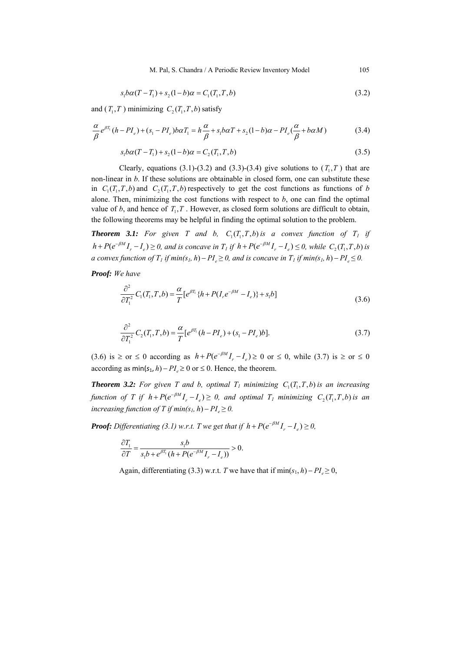M. Pal, S. Chandra / A Periodic Review Inventory Model 105

$$
s_1 b\alpha (T - T_1) + s_2 (1 - b)\alpha = C_1 (T_1, T, b)
$$
\n(3.2)

and  $(T_1, T)$  minimizing  $C_2(T_1, T, b)$  satisfy

$$
\frac{\alpha}{\beta}e^{\beta T_1}(h - PI_e) + (s_1 - PI_e)b\alpha T_1 = h\frac{\alpha}{\beta} + s_1b\alpha T + s_2(1 - b)\alpha - PI_e(\frac{\alpha}{\beta} + b\alpha M)
$$
\n(3.4)

$$
s_1 b\alpha (T - T_1) + s_2 (1 - b)\alpha = C_2 (T_1, T, b)
$$
\n(3.5)

Clearly, equations (3.1)-(3.2) and (3.3)-(3.4) give solutions to  $(T_1, T)$  that are non-linear in *b*. If these solutions are obtainable in closed form, one can substitute these in  $C_1(T_1, T, b)$  and  $C_2(T_1, T, b)$  respectively to get the cost functions as functions of *b* alone. Then, minimizing the cost functions with respect to *b*, one can find the optimal value of  $b$ , and hence of  $T_1, T$ . However, as closed form solutions are difficult to obtain, the following theorems may be helpful in finding the optimal solution to the problem.

**Theorem 3.1:** For given T and b,  $C_1(T_1, T, b)$  is a convex function of  $T_1$  if  $h + P(e^{-\beta M}I_r - I_e) \ge 0$ , and is concave in  $T_I$  if  $h + P(e^{-\beta M}I_r - I_e) \le 0$ , while  $C_2(T_1, T, b)$  is *a convex function of*  $T_1$  *if min(s<sub>1</sub>, h) –*  $PI$  *≥ 0, and is concave in*  $T_1$  *if min(s<sub>1</sub>, h) –*  $PI$  *≤ 0.* 

*Proof: We have* 

$$
\frac{\partial^2}{\partial T_1^2} C_1(T_1, T, b) = \frac{\alpha}{T} [e^{\beta T_1} \{ h + P(I_r e^{-\beta M} - I_e) \} + s_1 b]
$$
\n(3.6)

$$
\frac{\partial^2}{\partial T_1^2} C_2(T_1, T, b) = \frac{\alpha}{T} [e^{\beta T_1} (h - P I_e) + (s_1 - P I_e) b]. \tag{3.7}
$$

(3.6) is  $\geq$  or  $\leq$  0 according as  $h + P(e^{-\beta M}I_r - I_e) \geq 0$  or  $\leq$  0, while (3.7) is  $\geq$  or  $\leq$  0 according as  $min(s_1, h) - PI \ge 0$  or  $\le 0$ . Hence, the theorem.

**Theorem 3.2:** For given T and b, optimal  $T_1$  minimizing  $C_1(T_1, T, b)$  is an increasing *function of T if*  $h + P(e^{-\beta M}I_r - I_e) \geq 0$ , and optimal  $T_1$  minimizing  $C_2(T_1, T, b)$  is an *increasing function of T if min(s<sub>1</sub>, h) –*  $PI_e \geq 0$ *.* 

*Proof: Differentiating* (3.1) *w.r.t. T* we get that if  $h + P(e^{-\beta M}I_r - I_e) \ge 0$ ,

$$
\frac{\partial T_1}{\partial T} = \frac{s_1 b}{s_1 b + e^{\beta T_1} \left( h + P(e^{-\beta M} I_r - I_e) \right)} > 0.
$$

Again, differentiating (3.3) w.r.t. *T* we have that if  $\min(s_1, h) - PI \ge 0$ ,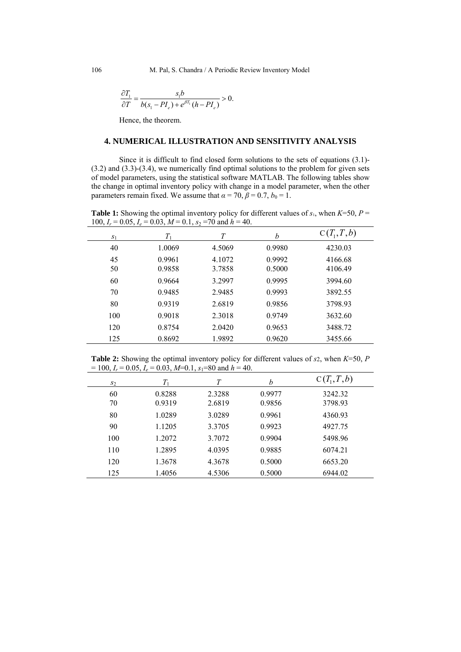$$
\frac{\partial T_1}{\partial T} = \frac{s_1 b}{b(s_1 - P I_e) + e^{\beta T_1} (h - P I_e)} > 0.
$$

Hence, the theorem.

# **4. NUMERICAL ILLUSTRATION AND SENSITIVITY ANALYSIS**

Since it is difficult to find closed form solutions to the sets of equations (3.1)- (3.2) and (3.3)-(3.4), we numerically find optimal solutions to the problem for given sets of model parameters, using the statistical software MATLAB. The following tables show the change in optimal inventory policy with change in a model parameter, when the other parameters remain fixed. We assume that  $\alpha = 70$ ,  $\beta = 0.7$ ,  $b_0 = 1$ .

**Table 1:** Showing the optimal inventory policy for different values of  $s_1$ , when  $K=50$ ,  $P=$ 100,  $I_r = 0.05$ ,  $I_e = 0.03$ ,  $M = 0.1$ ,  $s_2 = 70$  and  $h = 40$ .

| 100, 10<br>$\mathbf{v} \cdot \mathbf{v} \cdot \mathbf{v}$ | 0.00, 11<br>$\mathsf{v}$ . $\mathsf{v}$ , $\mathsf{v}$ | $100$ with $10$<br> |        |              |  |
|-----------------------------------------------------------|--------------------------------------------------------|---------------------|--------|--------------|--|
| $S_1$                                                     | $T_{1}$                                                | Т                   | h      | $C(T_1,T,b)$ |  |
| 40                                                        | 1.0069                                                 | 4.5069              | 0.9980 | 4230.03      |  |
| 45                                                        | 0.9961                                                 | 4.1072              | 0.9992 | 4166.68      |  |
| 50                                                        | 0.9858                                                 | 3.7858              | 0.5000 | 4106.49      |  |
| 60                                                        | 0.9664                                                 | 3.2997              | 0.9995 | 3994.60      |  |
| 70                                                        | 0.9485                                                 | 2.9485              | 0.9993 | 3892.55      |  |
| 80                                                        | 0.9319                                                 | 2.6819              | 0.9856 | 3798.93      |  |
| 100                                                       | 0.9018                                                 | 2.3018              | 0.9749 | 3632.60      |  |
| 120                                                       | 0.8754                                                 | 2.0420              | 0.9653 | 3488.72      |  |
| 125                                                       | 0.8692                                                 | 1.9892              | 0.9620 | 3455.66      |  |

**Table 2:** Showing the optimal inventory policy for different values of *s*2, when *K*=50, *P*   $= 100$ ,  $I_r = 0.05$ ,  $I_e = 0.03$ ,  $M=0.1$ ,  $s_1 = 80$  and  $h = 40$ .

| , ,   | $\overline{\phantom{a}}$ |        |        |              |
|-------|--------------------------|--------|--------|--------------|
| $S_2$ | $T_{1}$                  | T      | b      | $C(T_1,T,b)$ |
| 60    | 0.8288                   | 2.3288 | 0.9977 | 3242.32      |
| 70    | 0.9319                   | 2.6819 | 0.9856 | 3798.93      |
| 80    | 1.0289                   | 3.0289 | 0.9961 | 4360.93      |
| 90    | 1.1205                   | 3.3705 | 0.9923 | 4927.75      |
| 100   | 1.2072                   | 3.7072 | 0.9904 | 5498.96      |
| 110   | 1.2895                   | 4.0395 | 0.9885 | 6074.21      |
| 120   | 1.3678                   | 4.3678 | 0.5000 | 6653.20      |
| 125   | 1.4056                   | 4.5306 | 0.5000 | 6944.02      |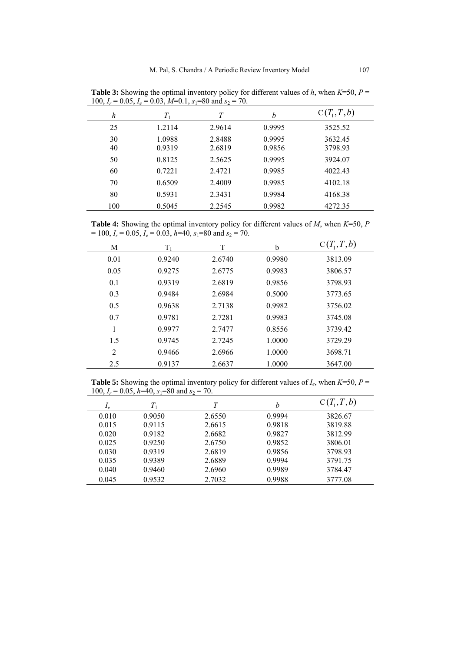| 100, 1r<br>0.02, 1 <sub>e</sub> | $0.02, 101, 0.1, 01, 00$ and $37$ | 70.              |                  |                    |
|---------------------------------|-----------------------------------|------------------|------------------|--------------------|
| h                               | $T_{1}$                           | T                | h                | $C(T_1,T,b)$       |
| 25                              | 1.2114                            | 2.9614           | 0.9995           | 3525.52            |
| 30<br>40                        | 1.0988<br>0.9319                  | 2.8488<br>2.6819 | 0.9995<br>0.9856 | 3632.45<br>3798.93 |
| 50                              | 0.8125                            | 2.5625           | 0.9995           | 3924.07            |
| 60                              | 0.7221                            | 2.4721           | 0.9985           | 4022.43            |
| 70                              | 0.6509                            | 2.4009           | 0.9985           | 4102.18            |
| 80                              | 0.5931                            | 2.3431           | 0.9984           | 4168.38            |
| 100                             | 0.5045                            | 2.2545           | 0.9982           | 4272.35            |

**Table 3:** Showing the optimal inventory policy for different values of *h*, when *K*=50, *P* = 100,  $I_r = 0.05$ ,  $I_e = 0.03$ ,  $M=0.1$ ,  $s_1 = 80$  and  $s_2 = 70$ .

**Table 4:** Showing the optimal inventory policy for different values of *M*, when *K*=50, *P*   $= 100$ ,  $I_r = 0.05$ ,  $I_e = 0.03$ ,  $h=40$ ,  $s_1 = 80$  and  $s_2 = 70$ .

| $\overline{\phantom{a}}$ |         |        |        |              |
|--------------------------|---------|--------|--------|--------------|
| М                        | $T_{1}$ | T      | b      | $C(T_1,T,b)$ |
| 0.01                     | 0.9240  | 2.6740 | 0.9980 | 3813.09      |
| 0.05                     | 0.9275  | 2.6775 | 0.9983 | 3806.57      |
| 0.1                      | 0.9319  | 2.6819 | 0.9856 | 3798.93      |
| 0.3                      | 0.9484  | 2.6984 | 0.5000 | 3773.65      |
| 0.5                      | 0.9638  | 2.7138 | 0.9982 | 3756.02      |
| 0.7                      | 0.9781  | 2.7281 | 0.9983 | 3745.08      |
| 1                        | 0.9977  | 2.7477 | 0.8556 | 3739.42      |
| 1.5                      | 0.9745  | 2.7245 | 1.0000 | 3729.29      |
| 2                        | 0.9466  | 2.6966 | 1.0000 | 3698.71      |
| 2.5                      | 0.9137  | 2.6637 | 1.0000 | 3647.00      |
|                          |         |        |        |              |

**Table 5:** Showing the optimal inventory policy for different values of  $I_e$ , when  $K=50$ ,  $P=$ 100,  $I_r = 0.05$ ,  $h=40$ ,  $s_1=80$  and  $s_2 = 70$ .

| $I_{\ell}$ | Т.     | T      | h      | $C(T_1,T,b)$ |
|------------|--------|--------|--------|--------------|
| 0.010      | 0.9050 | 2.6550 | 0.9994 | 3826.67      |
| 0.015      | 0.9115 | 2.6615 | 0.9818 | 3819.88      |
| 0.020      | 0.9182 | 2.6682 | 0.9827 | 3812.99      |
| 0.025      | 0.9250 | 2.6750 | 0.9852 | 3806.01      |
| 0.030      | 0.9319 | 2.6819 | 0.9856 | 3798.93      |
| 0.035      | 0.9389 | 2.6889 | 0.9994 | 3791.75      |
| 0.040      | 0.9460 | 2.6960 | 0.9989 | 3784.47      |
| 0.045      | 0.9532 | 2.7032 | 0.9988 | 3777.08      |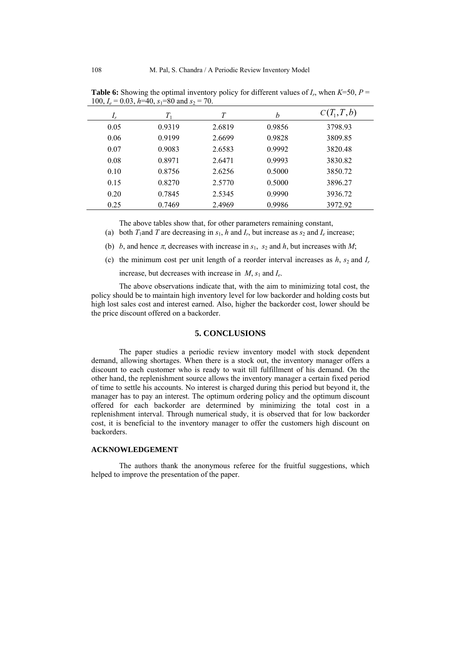| $\sim$ |         |        |        |              |
|--------|---------|--------|--------|--------------|
| $I_r$  | $T_{1}$ | T      | h      | $C(T_1,T,b)$ |
| 0.05   | 0.9319  | 2.6819 | 0.9856 | 3798.93      |
| 0.06   | 0.9199  | 2.6699 | 0.9828 | 3809.85      |
| 0.07   | 0.9083  | 2.6583 | 0.9992 | 3820.48      |
| 0.08   | 0.8971  | 2.6471 | 0.9993 | 3830.82      |
| 0.10   | 0.8756  | 2.6256 | 0.5000 | 3850.72      |
| 0.15   | 0.8270  | 2.5770 | 0.5000 | 3896.27      |
| 0.20   | 0.7845  | 2.5345 | 0.9990 | 3936.72      |
| 0.25   | 0.7469  | 2.4969 | 0.9986 | 3972.92      |

**Table 6:** Showing the optimal inventory policy for different values of  $I_r$ , when  $K=50$ ,  $P=$ 100,  $I_e = 0.03$ ,  $h=40$ ,  $s_1=80$  and  $s_2 = 70$ .

The above tables show that, for other parameters remaining constant,

(a) both  $T_1$  and  $T$  are decreasing in  $s_1$ ,  $h$  and  $I_r$ , but increase as  $s_2$  and  $I_e$  increase;

(b) *b*, and hence  $\pi$ , decreases with increase in  $s_1$ ,  $s_2$  and *h*, but increases with *M*;

(c) the minimum cost per unit length of a reorder interval increases as  $h$ ,  $s_2$  and  $I_r$ 

increase, but decreases with increase in  $M$ ,  $s_1$  and  $I_e$ .

The above observations indicate that, with the aim to minimizing total cost, the policy should be to maintain high inventory level for low backorder and holding costs but high lost sales cost and interest earned. Also, higher the backorder cost, lower should be the price discount offered on a backorder.

## **5. CONCLUSIONS**

The paper studies a periodic review inventory model with stock dependent demand, allowing shortages. When there is a stock out, the inventory manager offers a discount to each customer who is ready to wait till fulfillment of his demand. On the other hand, the replenishment source allows the inventory manager a certain fixed period of time to settle his accounts. No interest is charged during this period but beyond it, the manager has to pay an interest. The optimum ordering policy and the optimum discount offered for each backorder are determined by minimizing the total cost in a replenishment interval. Through numerical study, it is observed that for low backorder cost, it is beneficial to the inventory manager to offer the customers high discount on backorders.

#### **ACKNOWLEDGEMENT**

The authors thank the anonymous referee for the fruitful suggestions, which helped to improve the presentation of the paper.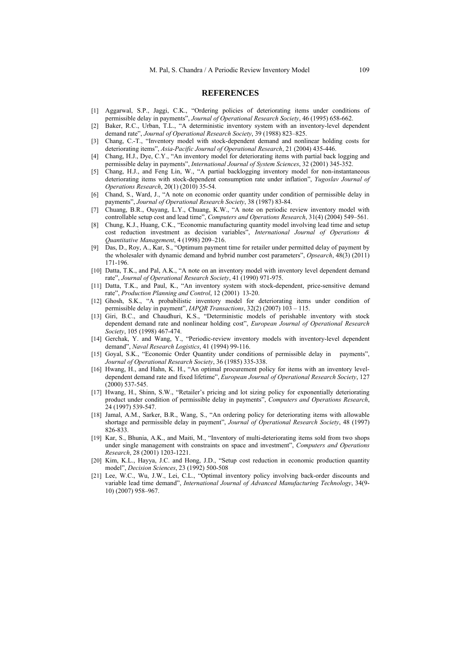#### **REFERENCES**

- [1] Aggarwal, S.P., Jaggi, C.K., "Ordering policies of deteriorating items under conditions of permissible delay in payments", *Journal of Operational Research Society*, 46 (1995) 658-662.
- [2] Baker, R.C., Urban, T.L., "A deterministic inventory system with an inventory-level dependent demand rate", *Journal of Operational Research Society*, 39 (1988) 823–825.
- [3] Chang, C.-T., "Inventory model with stock-dependent demand and nonlinear holding costs for deteriorating items", *Asia-Pacific Journal of Operational Research*, 21 (2004) 435-446.
- [4] Chang, H.J., Dye, C.Y., "An inventory model for deteriorating items with partial back logging and permissible delay in payments", *International Journal of System Sciences*, 32 (2001) 345-352.
- [5] Chang, H.J., and Feng Lin, W., "A partial backlogging inventory model for non-instantaneous deteriorating items with stock-dependent consumption rate under inflation", *Yugoslav Journal of Operations Research*, 20(1) (2010) 35-54.
- [6] Chand, S., Ward, J., "A note on economic order quantity under condition of permissible delay in payments", *Journal of Operational Research Society*, 38 (1987) 83-84.
- [7] Chuang, B.R., Ouyang, L.Y., Chuang, K.W., "A note on periodic review inventory model with controllable setup cost and lead time", *Computers and Operations Research*, 31(4) (2004) 549–561.
- [8] Chung, K.J., Huang, C.K., "Economic manufacturing quantity model involving lead time and setup cost reduction investment as decision variables", *International Journal of Operations & Quantitative Management*, 4 (1998) 209–216.
- [9] Das, D., Roy, A., Kar, S., "Optimum payment time for retailer under permitted delay of payment by the wholesaler with dynamic demand and hybrid number cost parameters", *Opsearch*, 48(3) (2011) 171-196.
- [10] Datta, T.K., and Pal, A.K., "A note on an inventory model with inventory level dependent demand rate", *Journal of Operational Research Society*, 41 (1990) 971-975.
- [11] Datta, T.K., and Paul, K., "An inventory system with stock-dependent, price-sensitive demand rate", *Production Planning and Control*, 12 (2001) 13-20.
- [12] Ghosh, S.K., "A probabilistic inventory model for deteriorating items under condition of permissible delay in payment", *IAPQR Transactions*, 32(2) (2007) 103 – 115.
- [13] Giri, B.C., and Chaudhuri, K.S., "Deterministic models of perishable inventory with stock dependent demand rate and nonlinear holding cost", *European Journal of Operational Research Society*, 105 (1998) 467-474.
- [14] Gerchak, Y. and Wang, Y., "Periodic-review inventory models with inventory-level dependent demand", *Naval Research Logistics*, 41 (1994) 99-116.
- [15] Goyal, S.K., "Economic Order Quantity under conditions of permissible delay in payments", *Journal of Operational Research Society*, 36 (1985) 335-338.
- [16] Hwang, H., and Hahn, K. H., "An optimal procurement policy for items with an inventory leveldependent demand rate and fixed lifetime", *European Journal of Operational Research Society*, 127 (2000) 537-545.
- [17] Hwang, H., Shinn, S.W., "Retailer's pricing and lot sizing policy for exponentially deteriorating product under condition of permissible delay in payments", *Computers and Operations Research*, 24 (1997) 539-547.
- [18] Jamal, A.M., Sarker, B.R., Wang, S., "An ordering policy for deteriorating items with allowable shortage and permissible delay in payment", *Journal of Operational Research Society*, 48 (1997) 826-833.
- [19] Kar, S., Bhunia, A.K., and Maiti, M., "Inventory of multi-deteriorating items sold from two shops under single management with constraints on space and investment", *Computers and Operations Research*, 28 (2001) 1203-1221.
- [20] Kim, K.L., Hayya, J.C. and Hong, J.D., "Setup cost reduction in economic production quantity model", *Decision Sciences*, 23 (1992) 500-508
- [21] Lee, W.C., Wu, J.W., Lei, C.L., "Optimal inventory policy involving back-order discounts and variable lead time demand", *International Journal of Advanced Manufacturing Technology*, 34(9- 10) (2007) 958–967.